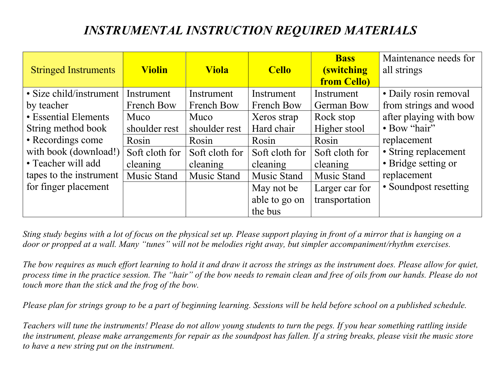| <b>Stringed Instruments</b> | <b>Violin</b>     | <b>Viola</b>      | <b>Cello</b>   | <b>Bass</b><br><b>(switching</b><br><b>from Cello)</b> | Maintenance needs for<br>all strings |
|-----------------------------|-------------------|-------------------|----------------|--------------------------------------------------------|--------------------------------------|
| • Size child/instrument     | Instrument        | Instrument        | Instrument     | Instrument                                             | • Daily rosin removal                |
| by teacher                  | <b>French Bow</b> | <b>French Bow</b> | French Bow     | <b>German Bow</b>                                      | from strings and wood                |
| • Essential Elements        | Muco              | Muco              | Xeros strap    | Rock stop                                              | after playing with bow               |
| String method book          | shoulder rest     | shoulder rest     | Hard chair     | Higher stool                                           | • Bow "hair"                         |
| • Recordings come           | Rosin             | Rosin             | Rosin          | Rosin                                                  | replacement                          |
| with book (download!)       | Soft cloth for    | Soft cloth for    | Soft cloth for | Soft cloth for                                         | • String replacement                 |
| • Teacher will add          | cleaning          | cleaning          | cleaning       | cleaning                                               | • Bridge setting or                  |
| tapes to the instrument     | Music Stand       | Music Stand       | Music Stand    | Music Stand                                            | replacement                          |
| for finger placement        |                   |                   | May not be     | Larger car for                                         | • Soundpost resetting                |
|                             |                   |                   | able to go on  | transportation                                         |                                      |
|                             |                   |                   | the bus        |                                                        |                                      |

*Sting study begins with a lot of focus on the physical set up. Please support playing in front of a mirror that is hanging on a door or propped at a wall. Many "tunes" will not be melodies right away, but simpler accompaniment/rhythm exercises.* 

*The bow requires as much effort learning to hold it and draw it across the strings as the instrument does. Please allow for quiet, process time in the practice session. The "hair" of the bow needs to remain clean and free of oils from our hands. Please do not touch more than the stick and the frog of the bow.*

*Please plan for strings group to be a part of beginning learning. Sessions will be held before school on a published schedule.*

*Teachers will tune the instruments! Please do not allow young students to turn the pegs. If you hear something rattling inside the instrument, please make arrangements for repair as the soundpost has fallen. If a string breaks, please visit the music store to have a new string put on the instrument.*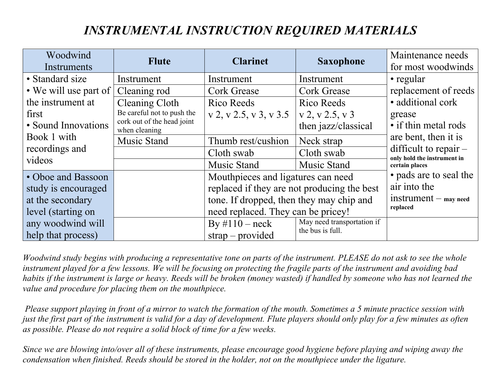| Woodwind              | <b>Flute</b>                                | <b>Clarinet</b>                             | <b>Saxophone</b>           | Maintenance needs                                      |
|-----------------------|---------------------------------------------|---------------------------------------------|----------------------------|--------------------------------------------------------|
| Instruments           |                                             |                                             |                            | for most woodwinds                                     |
| • Standard size       | Instrument                                  | Instrument                                  | Instrument                 | • regular                                              |
| • We will use part of | Cleaning rod                                | <b>Cork Grease</b>                          | <b>Cork Grease</b>         | replacement of reeds                                   |
| the instrument at     | Cleaning Cloth                              | Rico Reeds                                  | Rico Reeds                 | • additional cork                                      |
| first                 | Be careful not to push the                  | $v$ 2, v 2.5, v 3, v 3.5                    | v 2, v 2.5, v 3            | grease                                                 |
| • Sound Innovations   | cork out of the head joint<br>when cleaning |                                             | then jazz/classical        | • if thin metal rods                                   |
| Book 1 with           | Music Stand                                 | Thumb rest/cushion                          | Neck strap                 | are bent, then it is                                   |
| recordings and        |                                             | Cloth swab                                  | Cloth swab                 | difficult to repair $-$<br>only hold the instrument in |
| videos                |                                             | Music Stand                                 | Music Stand                | certain places                                         |
| • Oboe and Bassoon    |                                             | Mouthpieces and ligatures can need          |                            | • pads are to seal the                                 |
| study is encouraged   |                                             | replaced if they are not producing the best |                            | air into the                                           |
| at the secondary      |                                             | tone. If dropped, then they may chip and    |                            | $instrument - may need$                                |
| level (starting on    |                                             | need replaced. They can be pricey!          | replaced                   |                                                        |
| any woodwind will     |                                             | By $\#110$ – neck                           | May need transportation if |                                                        |
| help that process)    |                                             | $strap-provided$                            | the bus is full.           |                                                        |

*Woodwind study begins with producing a representative tone on parts of the instrument. PLEASE do not ask to see the whole instrument played for a few lessons. We will be focusing on protecting the fragile parts of the instrument and avoiding bad habits if the instrument is large or heavy. Reeds will be broken (money wasted) if handled by someone who has not learned the value and procedure for placing them on the mouthpiece.*

*Please support playing in front of a mirror to watch the formation of the mouth. Sometimes a 5 minute practice session with just the first part of the instrument is valid for a day of development. Flute players should only play for a few minutes as often as possible. Please do not require a solid block of time for a few weeks.*

*Since we are blowing into/over all of these instruments, please encourage good hygiene before playing and wiping away the condensation when finished. Reeds should be stored in the holder, not on the mouthpiece under the ligature.*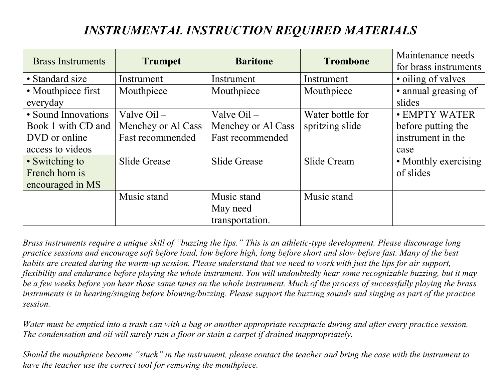| <b>Brass Instruments</b> |                    |                         | <b>Trombone</b>  | Maintenance needs     |
|--------------------------|--------------------|-------------------------|------------------|-----------------------|
|                          | <b>Trumpet</b>     | <b>Baritone</b>         |                  | for brass instruments |
| • Standard size          | Instrument         | Instrument              | Instrument       | • oiling of valves    |
| • Mouthpiece first       | Mouthpiece         | Mouthpiece              | Mouthpiece       | • annual greasing of  |
| everyday                 |                    |                         |                  | slides                |
| • Sound Innovations      | Valve $Oil -$      | Valve $Oil -$           | Water bottle for | • EMPTY WATER         |
| Book 1 with CD and       | Menchey or Al Cass | Menchey or Al Cass      | spritzing slide  | before putting the    |
| DVD or online            | Fast recommended   | <b>Fast recommended</b> |                  | instrument in the     |
| access to videos         |                    |                         |                  | case                  |
| • Switching to           | Slide Grease       | <b>Slide Grease</b>     | Slide Cream      | • Monthly exercising  |
| French horn is           |                    |                         |                  | of slides             |
| encouraged in MS         |                    |                         |                  |                       |
|                          | Music stand        | Music stand             | Music stand      |                       |
|                          |                    | May need                |                  |                       |
|                          |                    | transportation.         |                  |                       |

*Brass instruments require a unique skill of "buzzing the lips." This is an athletic-type development. Please discourage long practice sessions and encourage soft before loud, low before high, long before short and slow before fast. Many of the best habits are created during the warm-up session. Please understand that we need to work with just the lips for air support, flexibility and endurance before playing the whole instrument. You will undoubtedly hear some recognizable buzzing, but it may be a few weeks before you hear those same tunes on the whole instrument. Much of the process of successfully playing the brass instruments is in hearing/singing before blowing/buzzing. Please support the buzzing sounds and singing as part of the practice session.*

*Water must be emptied into a trash can with a bag or another appropriate receptacle during and after every practice session. The condensation and oil will surely ruin a floor or stain a carpet if drained inappropriately.*

*Should the mouthpiece become "stuck" in the instrument, please contact the teacher and bring the case with the instrument to have the teacher use the correct tool for removing the mouthpiece.*